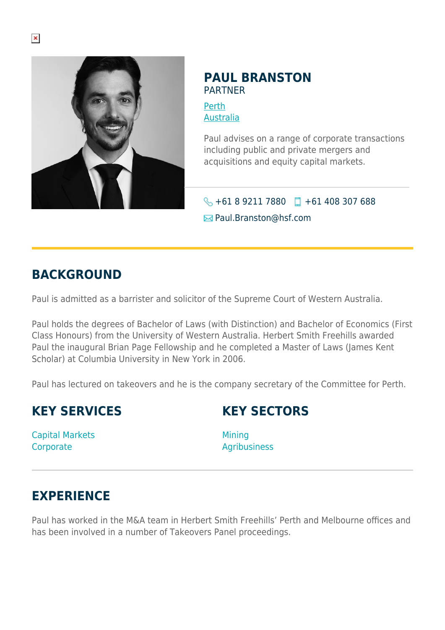

#### **PAUL BRANSTON** PARTNER

[Perth](https://www.herbertsmithfreehills.com/where-we-work/perth) [Australia](https://www.herbertsmithfreehills.com/where-we-work/australia)

Paul advises on a range of corporate transactions including public and private mergers and acquisitions and equity capital markets.

 $\bigodot$  +61 8 9211 7880 +61 408 307 688

**E**N Paul.Branston@hsf.com

## **BACKGROUND**

Paul is admitted as a barrister and solicitor of the Supreme Court of Western Australia.

Paul holds the degrees of Bachelor of Laws (with Distinction) and Bachelor of Economics (First Class Honours) from the University of Western Australia. Herbert Smith Freehills awarded Paul the inaugural Brian Page Fellowship and he completed a Master of Laws (James Kent Scholar) at Columbia University in New York in 2006.

Paul has lectured on takeovers and he is the company secretary of the Committee for Perth.

### **KEY SERVICES**

# **KEY SECTORS**

Capital Markets **Corporate** 

**Mining** Agribusiness

# **EXPERIENCE**

Paul has worked in the M&A team in Herbert Smith Freehills' Perth and Melbourne offices and has been involved in a number of Takeovers Panel proceedings.